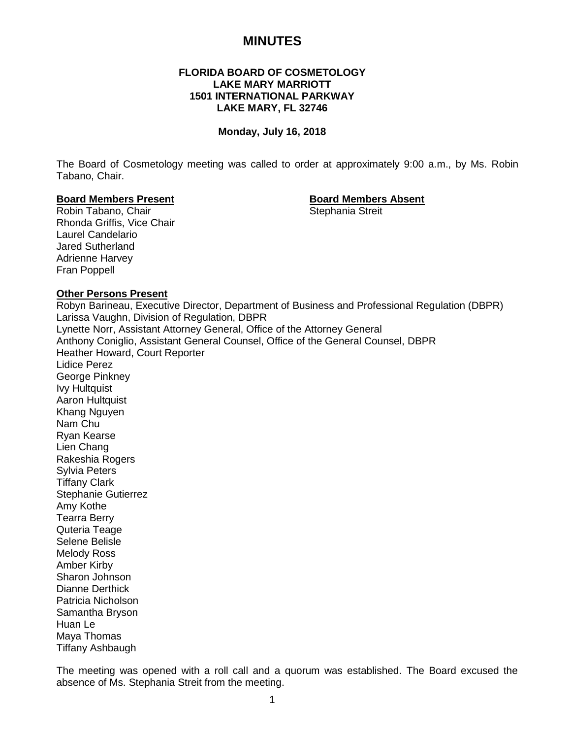# **MINUTES**

# **FLORIDA BOARD OF COSMETOLOGY LAKE MARY MARRIOTT 1501 INTERNATIONAL PARKWAY LAKE MARY, FL 32746**

#### **Monday, July 16, 2018**

The Board of Cosmetology meeting was called to order at approximately 9:00 a.m., by Ms. Robin Tabano, Chair.

# **Board Members Present Board Members Absent**

Robin Tabano, Chair Rhonda Griffis, Vice Chair Laurel Candelario Jared Sutherland Adrienne Harvey Fran Poppell

#### **Other Persons Present**

Robyn Barineau, Executive Director, Department of Business and Professional Regulation (DBPR) Larissa Vaughn, Division of Regulation, DBPR Lynette Norr, Assistant Attorney General, Office of the Attorney General Anthony Coniglio, Assistant General Counsel, Office of the General Counsel, DBPR Heather Howard, Court Reporter Lidice Perez George Pinkney Ivy Hultquist Aaron Hultquist Khang Nguyen Nam Chu Ryan Kearse Lien Chang Rakeshia Rogers Sylvia Peters Tiffany Clark Stephanie Gutierrez Amy Kothe Tearra Berry Quteria Teage Selene Belisle Melody Ross Amber Kirby Sharon Johnson Dianne Derthick Patricia Nicholson Samantha Bryson Huan Le Maya Thomas

Tiffany Ashbaugh

The meeting was opened with a roll call and a quorum was established. The Board excused the absence of Ms. Stephania Streit from the meeting.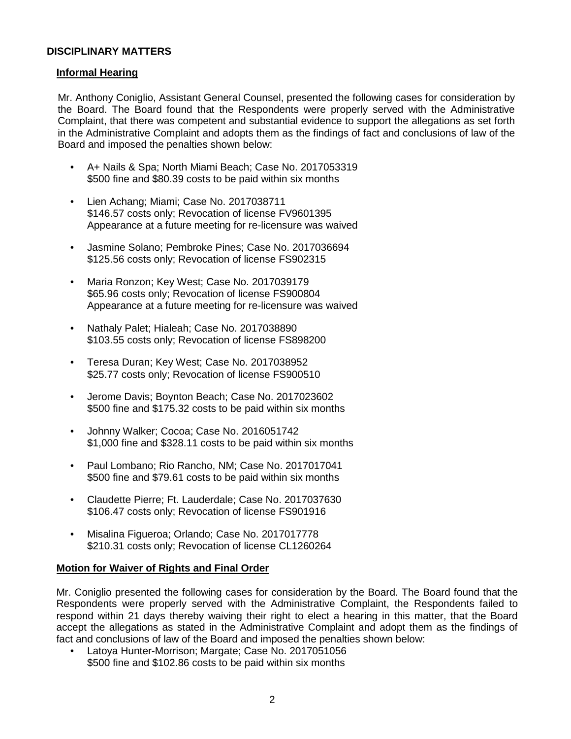# **DISCIPLINARY MATTERS**

# **Informal Hearing**

Mr. Anthony Coniglio, Assistant General Counsel, presented the following cases for consideration by the Board. The Board found that the Respondents were properly served with the Administrative Complaint, that there was competent and substantial evidence to support the allegations as set forth in the Administrative Complaint and adopts them as the findings of fact and conclusions of law of the Board and imposed the penalties shown below:

- A+ Nails & Spa; North Miami Beach; Case No. 2017053319 \$500 fine and \$80.39 costs to be paid within six months
- Lien Achang; Miami; Case No. 2017038711 \$146.57 costs only; Revocation of license FV9601395 Appearance at a future meeting for re-licensure was waived
- Jasmine Solano; Pembroke Pines; Case No. 2017036694 \$125.56 costs only; Revocation of license FS902315
- Maria Ronzon; Key West; Case No. 2017039179 \$65.96 costs only; Revocation of license FS900804 Appearance at a future meeting for re-licensure was waived
- Nathaly Palet; Hialeah; Case No. 2017038890 \$103.55 costs only; Revocation of license FS898200
- Teresa Duran; Key West; Case No. 2017038952 \$25.77 costs only; Revocation of license FS900510
- Jerome Davis; Boynton Beach; Case No. 2017023602 \$500 fine and \$175.32 costs to be paid within six months
- Johnny Walker; Cocoa; Case No. 2016051742 \$1,000 fine and \$328.11 costs to be paid within six months
- Paul Lombano; Rio Rancho, NM; Case No. 2017017041 \$500 fine and \$79.61 costs to be paid within six months
- Claudette Pierre; Ft. Lauderdale; Case No. 2017037630 \$106.47 costs only; Revocation of license FS901916
- Misalina Figueroa; Orlando; Case No. 2017017778 \$210.31 costs only; Revocation of license CL1260264

# **Motion for Waiver of Rights and Final Order**

Mr. Coniglio presented the following cases for consideration by the Board. The Board found that the Respondents were properly served with the Administrative Complaint, the Respondents failed to respond within 21 days thereby waiving their right to elect a hearing in this matter, that the Board accept the allegations as stated in the Administrative Complaint and adopt them as the findings of fact and conclusions of law of the Board and imposed the penalties shown below:

• Latoya Hunter-Morrison; Margate; Case No. 2017051056 \$500 fine and \$102.86 costs to be paid within six months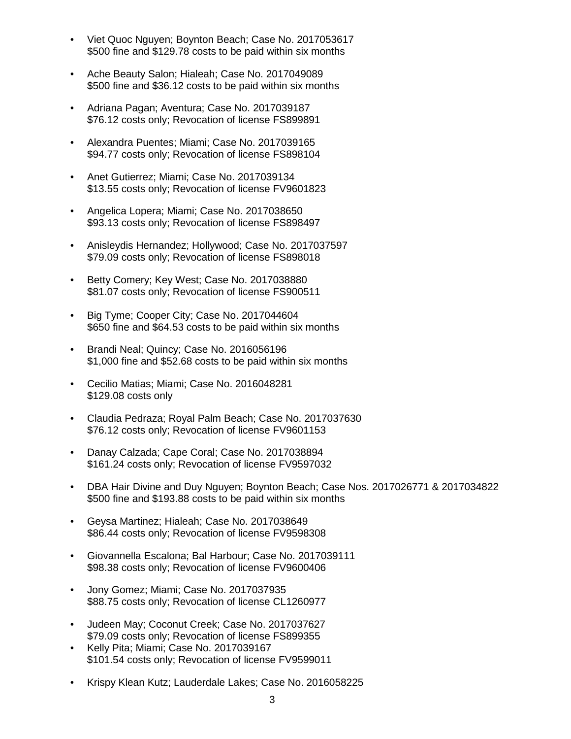- Viet Quoc Nguyen; Boynton Beach; Case No. 2017053617 \$500 fine and \$129.78 costs to be paid within six months
- Ache Beauty Salon; Hialeah; Case No. 2017049089 \$500 fine and \$36.12 costs to be paid within six months
- Adriana Pagan; Aventura; Case No. 2017039187 \$76.12 costs only; Revocation of license FS899891
- Alexandra Puentes; Miami; Case No. 2017039165 \$94.77 costs only; Revocation of license FS898104
- Anet Gutierrez; Miami; Case No. 2017039134 \$13.55 costs only; Revocation of license FV9601823
- Angelica Lopera; Miami; Case No. 2017038650 \$93.13 costs only; Revocation of license FS898497
- Anisleydis Hernandez; Hollywood; Case No. 2017037597 \$79.09 costs only; Revocation of license FS898018
- Betty Comery; Key West; Case No. 2017038880 \$81.07 costs only; Revocation of license FS900511
- Big Tyme; Cooper City; Case No. 2017044604 \$650 fine and \$64.53 costs to be paid within six months
- Brandi Neal; Quincy; Case No. 2016056196 \$1,000 fine and \$52.68 costs to be paid within six months
- Cecilio Matias; Miami; Case No. 2016048281 \$129.08 costs only
- Claudia Pedraza; Royal Palm Beach; Case No. 2017037630 \$76.12 costs only; Revocation of license FV9601153
- Danay Calzada; Cape Coral; Case No. 2017038894 \$161.24 costs only; Revocation of license FV9597032
- DBA Hair Divine and Duy Nguyen; Boynton Beach; Case Nos. 2017026771 & 2017034822 \$500 fine and \$193.88 costs to be paid within six months
- Geysa Martinez; Hialeah; Case No. 2017038649 \$86.44 costs only; Revocation of license FV9598308
- Giovannella Escalona; Bal Harbour; Case No. 2017039111 \$98.38 costs only; Revocation of license FV9600406
- Jony Gomez; Miami; Case No. 2017037935 \$88.75 costs only; Revocation of license CL1260977
- Judeen May; Coconut Creek; Case No. 2017037627 \$79.09 costs only; Revocation of license FS899355
- Kelly Pita; Miami; Case No. 2017039167 \$101.54 costs only; Revocation of license FV9599011
- Krispy Klean Kutz; Lauderdale Lakes; Case No. 2016058225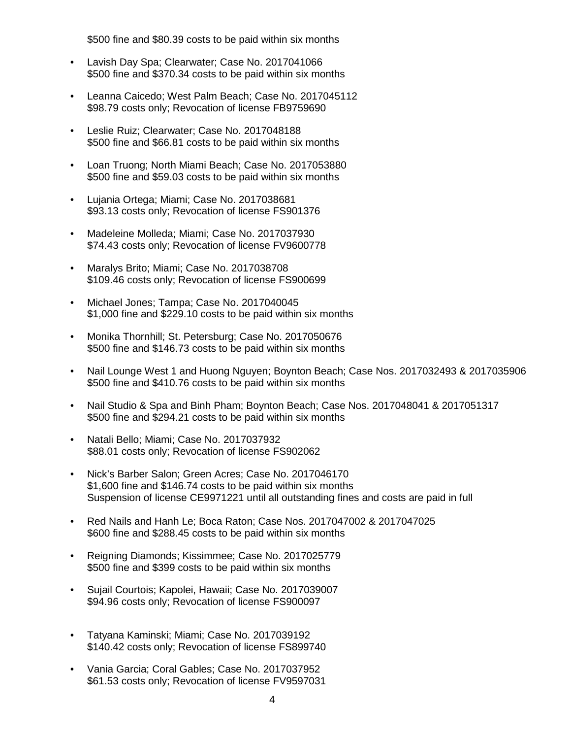\$500 fine and \$80.39 costs to be paid within six months

- Lavish Day Spa; Clearwater; Case No. 2017041066 \$500 fine and \$370.34 costs to be paid within six months
- Leanna Caicedo; West Palm Beach; Case No. 2017045112 \$98.79 costs only; Revocation of license FB9759690
- Leslie Ruiz; Clearwater; Case No. 2017048188 \$500 fine and \$66.81 costs to be paid within six months
- Loan Truong; North Miami Beach; Case No. 2017053880 \$500 fine and \$59.03 costs to be paid within six months
- Lujania Ortega; Miami; Case No. 2017038681 \$93.13 costs only; Revocation of license FS901376
- Madeleine Molleda; Miami; Case No. 2017037930 \$74.43 costs only; Revocation of license FV9600778
- Maralys Brito; Miami; Case No. 2017038708 \$109.46 costs only; Revocation of license FS900699
- Michael Jones; Tampa; Case No. 2017040045 \$1,000 fine and \$229.10 costs to be paid within six months
- Monika Thornhill; St. Petersburg; Case No. 2017050676 \$500 fine and \$146.73 costs to be paid within six months
- Nail Lounge West 1 and Huong Nguyen; Boynton Beach; Case Nos. 2017032493 & 2017035906 \$500 fine and \$410.76 costs to be paid within six months
- Nail Studio & Spa and Binh Pham; Boynton Beach; Case Nos. 2017048041 & 2017051317 \$500 fine and \$294.21 costs to be paid within six months
- Natali Bello; Miami; Case No. 2017037932 \$88.01 costs only; Revocation of license FS902062
- Nick's Barber Salon; Green Acres; Case No. 2017046170 \$1,600 fine and \$146.74 costs to be paid within six months Suspension of license CE9971221 until all outstanding fines and costs are paid in full
- Red Nails and Hanh Le; Boca Raton; Case Nos. 2017047002 & 2017047025 \$600 fine and \$288.45 costs to be paid within six months
- Reigning Diamonds; Kissimmee; Case No. 2017025779 \$500 fine and \$399 costs to be paid within six months
- Sujail Courtois; Kapolei, Hawaii; Case No. 2017039007 \$94.96 costs only; Revocation of license FS900097
- Tatyana Kaminski; Miami; Case No. 2017039192 \$140.42 costs only; Revocation of license FS899740
- Vania Garcia; Coral Gables; Case No. 2017037952 \$61.53 costs only; Revocation of license FV9597031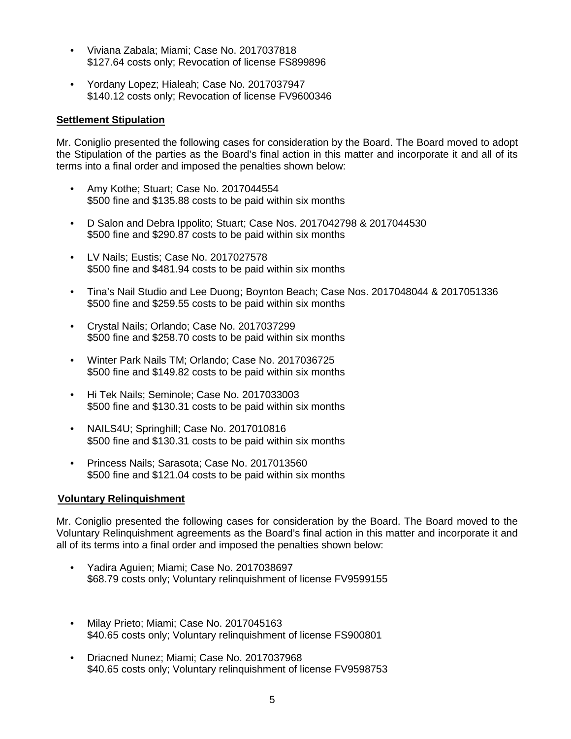- Viviana Zabala; Miami; Case No. 2017037818 \$127.64 costs only; Revocation of license FS899896
- Yordany Lopez; Hialeah; Case No. 2017037947 \$140.12 costs only; Revocation of license FV9600346

# **Settlement Stipulation**

Mr. Coniglio presented the following cases for consideration by the Board. The Board moved to adopt the Stipulation of the parties as the Board's final action in this matter and incorporate it and all of its terms into a final order and imposed the penalties shown below:

- Amy Kothe; Stuart; Case No. 2017044554 \$500 fine and \$135.88 costs to be paid within six months
- D Salon and Debra Ippolito; Stuart; Case Nos. 2017042798 & 2017044530 \$500 fine and \$290.87 costs to be paid within six months
- LV Nails; Eustis; Case No. 2017027578 \$500 fine and \$481.94 costs to be paid within six months
- Tina's Nail Studio and Lee Duong; Boynton Beach; Case Nos. 2017048044 & 2017051336 \$500 fine and \$259.55 costs to be paid within six months
- Crystal Nails; Orlando; Case No. 2017037299 \$500 fine and \$258.70 costs to be paid within six months
- Winter Park Nails TM; Orlando; Case No. 2017036725 \$500 fine and \$149.82 costs to be paid within six months
- Hi Tek Nails; Seminole; Case No. 2017033003 \$500 fine and \$130.31 costs to be paid within six months
- NAILS4U; Springhill; Case No. 2017010816 \$500 fine and \$130.31 costs to be paid within six months
- Princess Nails; Sarasota; Case No. 2017013560 \$500 fine and \$121.04 costs to be paid within six months

# **Voluntary Relinquishment**

Mr. Coniglio presented the following cases for consideration by the Board. The Board moved to the Voluntary Relinquishment agreements as the Board's final action in this matter and incorporate it and all of its terms into a final order and imposed the penalties shown below:

- Yadira Aguien; Miami; Case No. 2017038697 \$68.79 costs only; Voluntary relinquishment of license FV9599155
- Milay Prieto; Miami; Case No. 2017045163 \$40.65 costs only; Voluntary relinquishment of license FS900801
- Driacned Nunez; Miami; Case No. 2017037968 \$40.65 costs only; Voluntary relinquishment of license FV9598753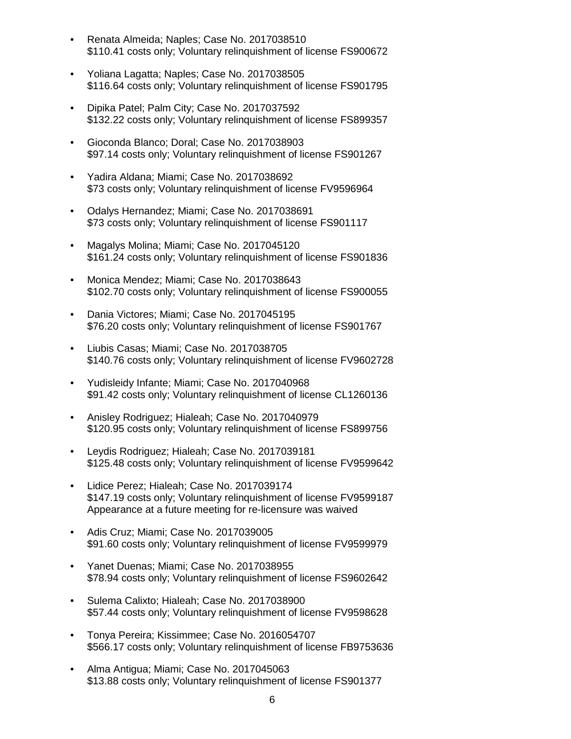- Renata Almeida; Naples; Case No. 2017038510 \$110.41 costs only; Voluntary relinquishment of license FS900672
- Yoliana Lagatta; Naples; Case No. 2017038505 \$116.64 costs only; Voluntary relinquishment of license FS901795
- Dipika Patel; Palm City; Case No. 2017037592 \$132.22 costs only; Voluntary relinquishment of license FS899357
- Gioconda Blanco; Doral; Case No. 2017038903 \$97.14 costs only; Voluntary relinquishment of license FS901267
- Yadira Aldana; Miami; Case No. 2017038692 \$73 costs only; Voluntary relinquishment of license FV9596964
- Odalys Hernandez; Miami; Case No. 2017038691 \$73 costs only; Voluntary relinquishment of license FS901117
- Magalys Molina; Miami; Case No. 2017045120 \$161.24 costs only; Voluntary relinquishment of license FS901836
- Monica Mendez; Miami; Case No. 2017038643 \$102.70 costs only; Voluntary relinquishment of license FS900055
- Dania Victores; Miami; Case No. 2017045195 \$76.20 costs only; Voluntary relinquishment of license FS901767
- Liubis Casas; Miami; Case No. 2017038705 \$140.76 costs only; Voluntary relinquishment of license FV9602728
- Yudisleidy Infante; Miami; Case No. 2017040968 \$91.42 costs only; Voluntary relinquishment of license CL1260136
- Anisley Rodriguez; Hialeah; Case No. 2017040979 \$120.95 costs only; Voluntary relinquishment of license FS899756
- Leydis Rodriguez; Hialeah; Case No. 2017039181 \$125.48 costs only; Voluntary relinquishment of license FV9599642
- Lidice Perez; Hialeah; Case No. 2017039174 \$147.19 costs only; Voluntary relinquishment of license FV9599187 Appearance at a future meeting for re-licensure was waived
- Adis Cruz; Miami; Case No. 2017039005 \$91.60 costs only; Voluntary relinquishment of license FV9599979
- Yanet Duenas; Miami; Case No. 2017038955 \$78.94 costs only; Voluntary relinquishment of license FS9602642
- Sulema Calixto; Hialeah; Case No. 2017038900 \$57.44 costs only; Voluntary relinquishment of license FV9598628
- Tonya Pereira; Kissimmee; Case No. 2016054707 \$566.17 costs only; Voluntary relinquishment of license FB9753636
- Alma Antigua; Miami; Case No. 2017045063 \$13.88 costs only; Voluntary relinquishment of license FS901377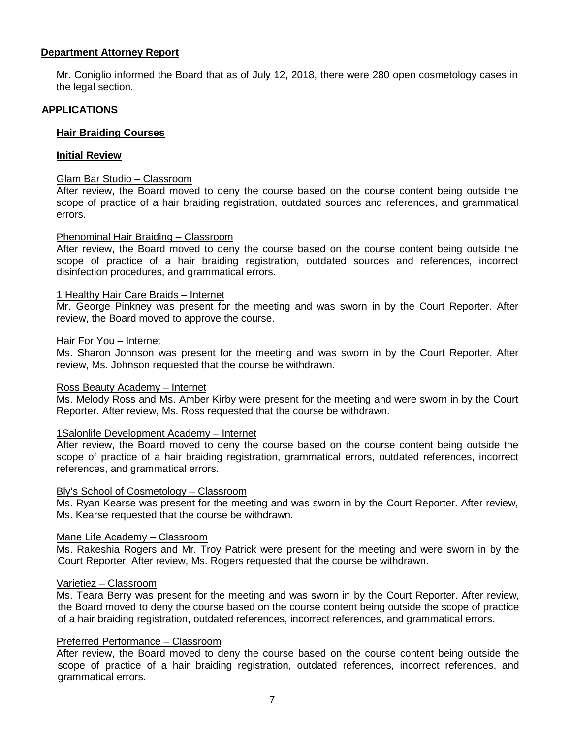### **Department Attorney Report**

Mr. Coniglio informed the Board that as of July 12, 2018, there were 280 open cosmetology cases in the legal section.

# **APPLICATIONS**

# **Hair Braiding Courses**

#### **Initial Review**

#### Glam Bar Studio – Classroom

After review, the Board moved to deny the course based on the course content being outside the scope of practice of a hair braiding registration, outdated sources and references, and grammatical errors.

#### Phenominal Hair Braiding – Classroom

After review, the Board moved to deny the course based on the course content being outside the scope of practice of a hair braiding registration, outdated sources and references, incorrect disinfection procedures, and grammatical errors.

#### 1 Healthy Hair Care Braids – Internet

Mr. George Pinkney was present for the meeting and was sworn in by the Court Reporter. After review, the Board moved to approve the course.

#### Hair For You – Internet

Ms. Sharon Johnson was present for the meeting and was sworn in by the Court Reporter. After review, Ms. Johnson requested that the course be withdrawn.

#### Ross Beauty Academy – Internet

Ms. Melody Ross and Ms. Amber Kirby were present for the meeting and were sworn in by the Court Reporter. After review, Ms. Ross requested that the course be withdrawn.

#### 1Salonlife Development Academy – Internet

After review, the Board moved to deny the course based on the course content being outside the scope of practice of a hair braiding registration, grammatical errors, outdated references, incorrect references, and grammatical errors.

#### Bly's School of Cosmetology – Classroom

Ms. Ryan Kearse was present for the meeting and was sworn in by the Court Reporter. After review, Ms. Kearse requested that the course be withdrawn.

#### Mane Life Academy – Classroom

Ms. Rakeshia Rogers and Mr. Troy Patrick were present for the meeting and were sworn in by the Court Reporter. After review, Ms. Rogers requested that the course be withdrawn.

#### Varietiez – Classroom

Ms. Teara Berry was present for the meeting and was sworn in by the Court Reporter. After review, the Board moved to deny the course based on the course content being outside the scope of practice of a hair braiding registration, outdated references, incorrect references, and grammatical errors.

#### Preferred Performance – Classroom

After review, the Board moved to deny the course based on the course content being outside the scope of practice of a hair braiding registration, outdated references, incorrect references, and grammatical errors.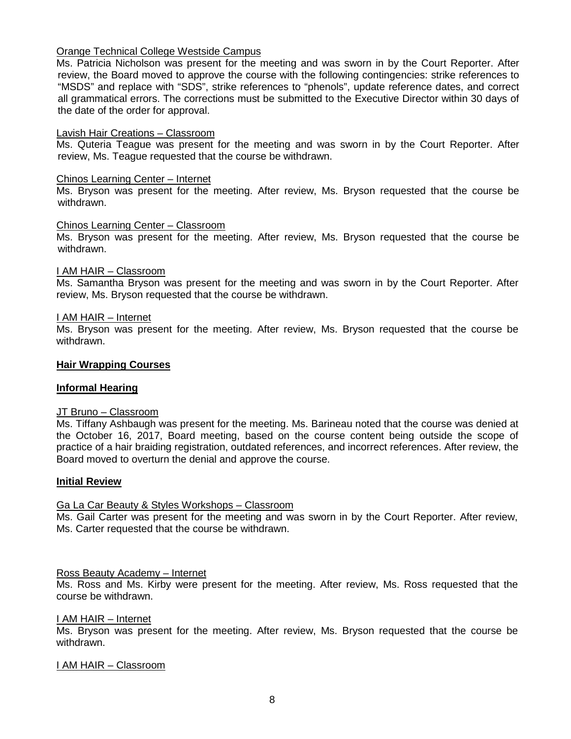# Orange Technical College Westside Campus

Ms. Patricia Nicholson was present for the meeting and was sworn in by the Court Reporter. After review, the Board moved to approve the course with the following contingencies: strike references to "MSDS" and replace with "SDS", strike references to "phenols", update reference dates, and correct all grammatical errors. The corrections must be submitted to the Executive Director within 30 days of the date of the order for approval.

#### Lavish Hair Creations – Classroom

Ms. Quteria Teague was present for the meeting and was sworn in by the Court Reporter. After review, Ms. Teague requested that the course be withdrawn.

#### Chinos Learning Center – Internet

Ms. Bryson was present for the meeting. After review, Ms. Bryson requested that the course be withdrawn.

#### Chinos Learning Center – Classroom

Ms. Bryson was present for the meeting. After review, Ms. Bryson requested that the course be withdrawn.

#### I AM HAIR – Classroom

Ms. Samantha Bryson was present for the meeting and was sworn in by the Court Reporter. After review, Ms. Bryson requested that the course be withdrawn.

#### I AM HAIR – Internet

Ms. Bryson was present for the meeting. After review, Ms. Bryson requested that the course be withdrawn.

#### **Hair Wrapping Courses**

#### **Informal Hearing**

#### JT Bruno – Classroom

Ms. Tiffany Ashbaugh was present for the meeting. Ms. Barineau noted that the course was denied at the October 16, 2017, Board meeting, based on the course content being outside the scope of practice of a hair braiding registration, outdated references, and incorrect references. After review, the Board moved to overturn the denial and approve the course.

#### **Initial Review**

#### Ga La Car Beauty & Styles Workshops – Classroom

Ms. Gail Carter was present for the meeting and was sworn in by the Court Reporter. After review, Ms. Carter requested that the course be withdrawn.

#### Ross Beauty Academy – Internet

Ms. Ross and Ms. Kirby were present for the meeting. After review, Ms. Ross requested that the course be withdrawn.

#### I AM HAIR – Internet

Ms. Bryson was present for the meeting. After review, Ms. Bryson requested that the course be withdrawn.

#### I AM HAIR – Classroom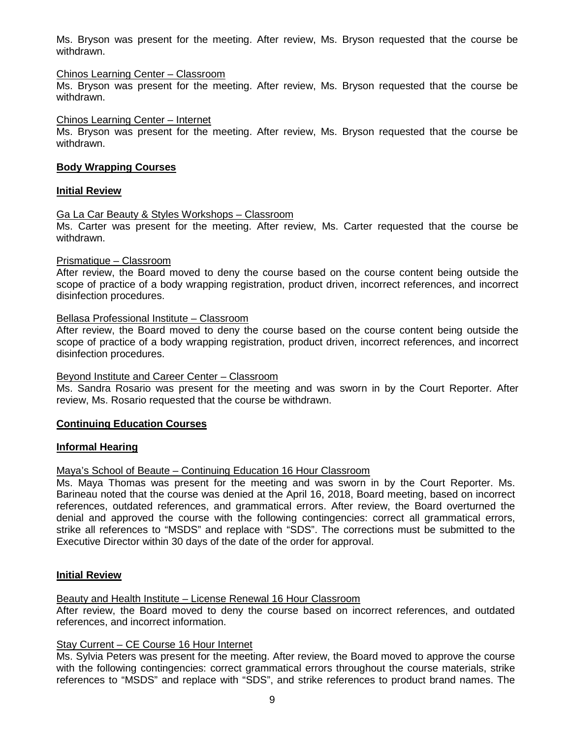Ms. Bryson was present for the meeting. After review, Ms. Bryson requested that the course be withdrawn.

#### Chinos Learning Center – Classroom

Ms. Bryson was present for the meeting. After review, Ms. Bryson requested that the course be withdrawn.

#### Chinos Learning Center – Internet

Ms. Bryson was present for the meeting. After review, Ms. Bryson requested that the course be withdrawn.

#### **Body Wrapping Courses**

#### **Initial Review**

# Ga La Car Beauty & Styles Workshops – Classroom

Ms. Carter was present for the meeting. After review, Ms. Carter requested that the course be withdrawn.

#### Prismatique – Classroom

After review, the Board moved to deny the course based on the course content being outside the scope of practice of a body wrapping registration, product driven, incorrect references, and incorrect disinfection procedures.

#### Bellasa Professional Institute – Classroom

After review, the Board moved to deny the course based on the course content being outside the scope of practice of a body wrapping registration, product driven, incorrect references, and incorrect disinfection procedures.

#### Beyond Institute and Career Center – Classroom

Ms. Sandra Rosario was present for the meeting and was sworn in by the Court Reporter. After review, Ms. Rosario requested that the course be withdrawn.

#### **Continuing Education Courses**

#### **Informal Hearing**

#### Maya's School of Beaute – Continuing Education 16 Hour Classroom

Ms. Maya Thomas was present for the meeting and was sworn in by the Court Reporter. Ms. Barineau noted that the course was denied at the April 16, 2018, Board meeting, based on incorrect references, outdated references, and grammatical errors. After review, the Board overturned the denial and approved the course with the following contingencies: correct all grammatical errors, strike all references to "MSDS" and replace with "SDS". The corrections must be submitted to the Executive Director within 30 days of the date of the order for approval.

#### **Initial Review**

#### Beauty and Health Institute – License Renewal 16 Hour Classroom

After review, the Board moved to deny the course based on incorrect references, and outdated references, and incorrect information.

#### Stay Current – CE Course 16 Hour Internet

Ms. Sylvia Peters was present for the meeting. After review, the Board moved to approve the course with the following contingencies: correct grammatical errors throughout the course materials, strike references to "MSDS" and replace with "SDS", and strike references to product brand names. The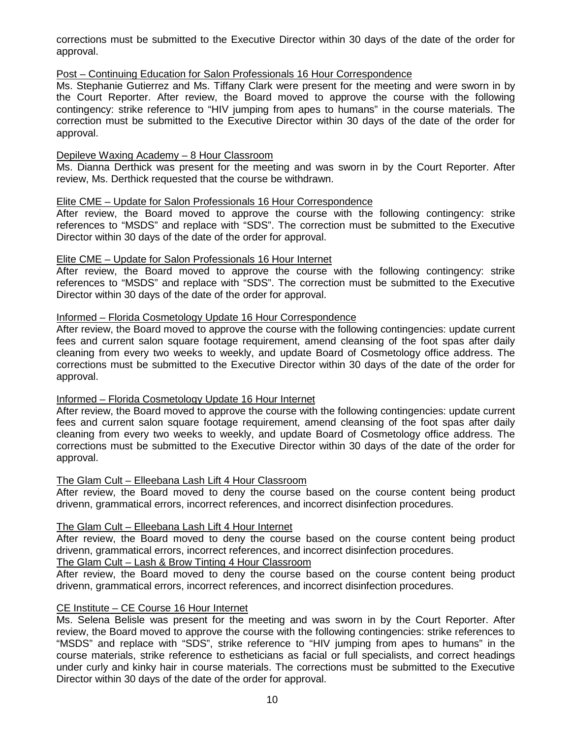corrections must be submitted to the Executive Director within 30 days of the date of the order for approval.

# Post – Continuing Education for Salon Professionals 16 Hour Correspondence

Ms. Stephanie Gutierrez and Ms. Tiffany Clark were present for the meeting and were sworn in by the Court Reporter. After review, the Board moved to approve the course with the following contingency: strike reference to "HIV jumping from apes to humans" in the course materials. The correction must be submitted to the Executive Director within 30 days of the date of the order for approval.

# Depileve Waxing Academy – 8 Hour Classroom

Ms. Dianna Derthick was present for the meeting and was sworn in by the Court Reporter. After review, Ms. Derthick requested that the course be withdrawn.

# Elite CME – Update for Salon Professionals 16 Hour Correspondence

After review, the Board moved to approve the course with the following contingency: strike references to "MSDS" and replace with "SDS". The correction must be submitted to the Executive Director within 30 days of the date of the order for approval.

# Elite CME – Update for Salon Professionals 16 Hour Internet

After review, the Board moved to approve the course with the following contingency: strike references to "MSDS" and replace with "SDS". The correction must be submitted to the Executive Director within 30 days of the date of the order for approval.

# Informed – Florida Cosmetology Update 16 Hour Correspondence

After review, the Board moved to approve the course with the following contingencies: update current fees and current salon square footage requirement, amend cleansing of the foot spas after daily cleaning from every two weeks to weekly, and update Board of Cosmetology office address. The corrections must be submitted to the Executive Director within 30 days of the date of the order for approval.

# Informed – Florida Cosmetology Update 16 Hour Internet

After review, the Board moved to approve the course with the following contingencies: update current fees and current salon square footage requirement, amend cleansing of the foot spas after daily cleaning from every two weeks to weekly, and update Board of Cosmetology office address. The corrections must be submitted to the Executive Director within 30 days of the date of the order for approval.

# The Glam Cult – Elleebana Lash Lift 4 Hour Classroom

After review, the Board moved to deny the course based on the course content being product drivenn, grammatical errors, incorrect references, and incorrect disinfection procedures.

# The Glam Cult – Elleebana Lash Lift 4 Hour Internet

After review, the Board moved to deny the course based on the course content being product drivenn, grammatical errors, incorrect references, and incorrect disinfection procedures.

# The Glam Cult – Lash & Brow Tinting 4 Hour Classroom

After review, the Board moved to deny the course based on the course content being product drivenn, grammatical errors, incorrect references, and incorrect disinfection procedures.

#### CE Institute – CE Course 16 Hour Internet

Ms. Selena Belisle was present for the meeting and was sworn in by the Court Reporter. After review, the Board moved to approve the course with the following contingencies: strike references to "MSDS" and replace with "SDS", strike reference to "HIV jumping from apes to humans" in the course materials, strike reference to estheticians as facial or full specialists, and correct headings under curly and kinky hair in course materials. The corrections must be submitted to the Executive Director within 30 days of the date of the order for approval.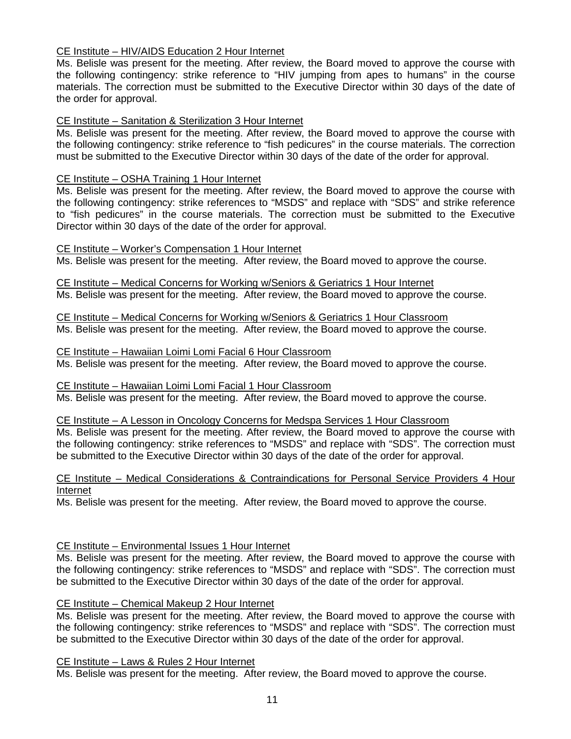# CE Institute – HIV/AIDS Education 2 Hour Internet

Ms. Belisle was present for the meeting. After review, the Board moved to approve the course with the following contingency: strike reference to "HIV jumping from apes to humans" in the course materials. The correction must be submitted to the Executive Director within 30 days of the date of the order for approval.

# CE Institute – Sanitation & Sterilization 3 Hour Internet

Ms. Belisle was present for the meeting. After review, the Board moved to approve the course with the following contingency: strike reference to "fish pedicures" in the course materials. The correction must be submitted to the Executive Director within 30 days of the date of the order for approval.

# CE Institute – OSHA Training 1 Hour Internet

Ms. Belisle was present for the meeting. After review, the Board moved to approve the course with the following contingency: strike references to "MSDS" and replace with "SDS" and strike reference to "fish pedicures" in the course materials. The correction must be submitted to the Executive Director within 30 days of the date of the order for approval.

CE Institute – Worker's Compensation 1 Hour Internet Ms. Belisle was present for the meeting. After review, the Board moved to approve the course.

CE Institute – Medical Concerns for Working w/Seniors & Geriatrics 1 Hour Internet Ms. Belisle was present for the meeting. After review, the Board moved to approve the course.

CE Institute – Medical Concerns for Working w/Seniors & Geriatrics 1 Hour Classroom Ms. Belisle was present for the meeting. After review, the Board moved to approve the course.

CE Institute – Hawaiian Loimi Lomi Facial 6 Hour Classroom Ms. Belisle was present for the meeting. After review, the Board moved to approve the course.

CE Institute – Hawaiian Loimi Lomi Facial 1 Hour Classroom Ms. Belisle was present for the meeting. After review, the Board moved to approve the course.

CE Institute – A Lesson in Oncology Concerns for Medspa Services 1 Hour Classroom

Ms. Belisle was present for the meeting. After review, the Board moved to approve the course with the following contingency: strike references to "MSDS" and replace with "SDS". The correction must be submitted to the Executive Director within 30 days of the date of the order for approval.

CE Institute – Medical Considerations & Contraindications for Personal Service Providers 4 Hour Internet

Ms. Belisle was present for the meeting. After review, the Board moved to approve the course.

#### CE Institute – Environmental Issues 1 Hour Internet

Ms. Belisle was present for the meeting. After review, the Board moved to approve the course with the following contingency: strike references to "MSDS" and replace with "SDS". The correction must be submitted to the Executive Director within 30 days of the date of the order for approval.

# CE Institute – Chemical Makeup 2 Hour Internet

Ms. Belisle was present for the meeting. After review, the Board moved to approve the course with the following contingency: strike references to "MSDS" and replace with "SDS". The correction must be submitted to the Executive Director within 30 days of the date of the order for approval.

#### CE Institute – Laws & Rules 2 Hour Internet

Ms. Belisle was present for the meeting. After review, the Board moved to approve the course.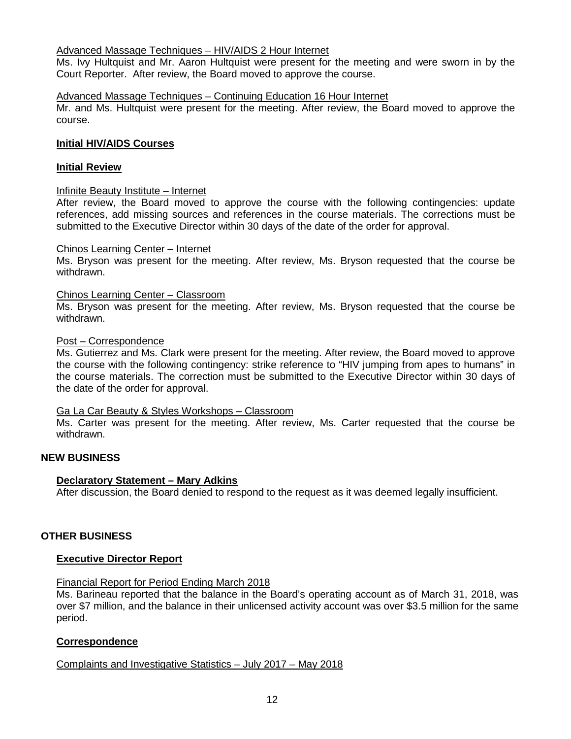# Advanced Massage Techniques – HIV/AIDS 2 Hour Internet

Ms. Ivy Hultquist and Mr. Aaron Hultquist were present for the meeting and were sworn in by the Court Reporter. After review, the Board moved to approve the course.

### Advanced Massage Techniques – Continuing Education 16 Hour Internet

Mr. and Ms. Hultquist were present for the meeting. After review, the Board moved to approve the course.

# **Initial HIV/AIDS Courses**

#### **Initial Review**

#### Infinite Beauty Institute – Internet

After review, the Board moved to approve the course with the following contingencies: update references, add missing sources and references in the course materials. The corrections must be submitted to the Executive Director within 30 days of the date of the order for approval.

#### Chinos Learning Center – Internet

Ms. Bryson was present for the meeting. After review, Ms. Bryson requested that the course be withdrawn.

#### Chinos Learning Center – Classroom

Ms. Bryson was present for the meeting. After review, Ms. Bryson requested that the course be withdrawn.

#### Post – Correspondence

Ms. Gutierrez and Ms. Clark were present for the meeting. After review, the Board moved to approve the course with the following contingency: strike reference to "HIV jumping from apes to humans" in the course materials. The correction must be submitted to the Executive Director within 30 days of the date of the order for approval.

#### Ga La Car Beauty & Styles Workshops – Classroom

Ms. Carter was present for the meeting. After review, Ms. Carter requested that the course be withdrawn.

#### **NEW BUSINESS**

#### **Declaratory Statement – Mary Adkins**

After discussion, the Board denied to respond to the request as it was deemed legally insufficient.

#### **OTHER BUSINESS**

#### **Executive Director Report**

#### Financial Report for Period Ending March 2018

Ms. Barineau reported that the balance in the Board's operating account as of March 31, 2018, was over \$7 million, and the balance in their unlicensed activity account was over \$3.5 million for the same period.

#### **Correspondence**

Complaints and Investigative Statistics – July 2017 – May 2018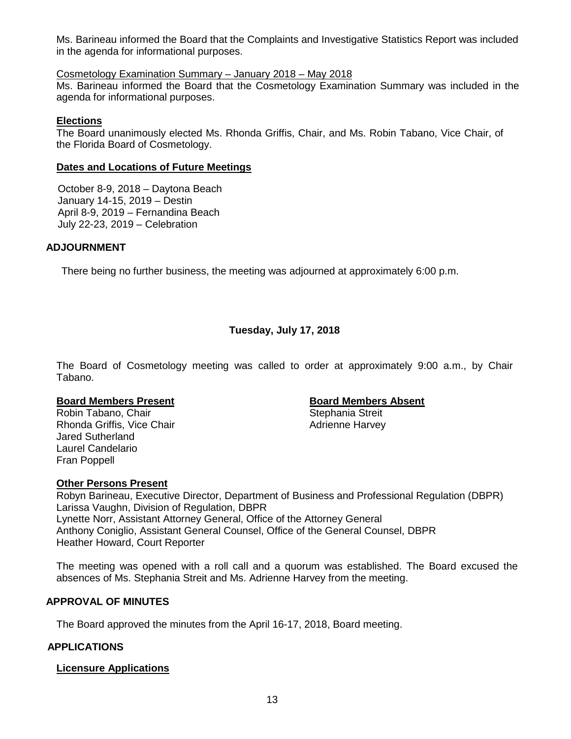Ms. Barineau informed the Board that the Complaints and Investigative Statistics Report was included in the agenda for informational purposes.

# Cosmetology Examination Summary – January 2018 – May 2018

Ms. Barineau informed the Board that the Cosmetology Examination Summary was included in the agenda for informational purposes.

# **Elections**

The Board unanimously elected Ms. Rhonda Griffis, Chair, and Ms. Robin Tabano, Vice Chair, of the Florida Board of Cosmetology.

# **Dates and Locations of Future Meetings**

October 8-9, 2018 – Daytona Beach January 14-15, 2019 – Destin April 8-9, 2019 – Fernandina Beach July 22-23, 2019 – Celebration

# **ADJOURNMENT**

There being no further business, the meeting was adjourned at approximately 6:00 p.m.

# **Tuesday, July 17, 2018**

The Board of Cosmetology meeting was called to order at approximately 9:00 a.m., by Chair Tabano.

Robin Tabano, Chair Rhonda Griffis, Vice Chair **Adrienne Harvey** Adrienne Harvey Jared Sutherland Laurel Candelario Fran Poppell

# **Board Members Present**<br> **Robin Tabano. Chair**<br> **Board Members Absent**<br> **Board Members Absent**<br> **Board Members Absent**

# **Other Persons Present**

Robyn Barineau, Executive Director, Department of Business and Professional Regulation (DBPR) Larissa Vaughn, Division of Regulation, DBPR Lynette Norr, Assistant Attorney General, Office of the Attorney General Anthony Coniglio, Assistant General Counsel, Office of the General Counsel, DBPR Heather Howard, Court Reporter

The meeting was opened with a roll call and a quorum was established. The Board excused the absences of Ms. Stephania Streit and Ms. Adrienne Harvey from the meeting.

# **APPROVAL OF MINUTES**

The Board approved the minutes from the April 16-17, 2018, Board meeting.

# **APPLICATIONS**

#### **Licensure Applications**